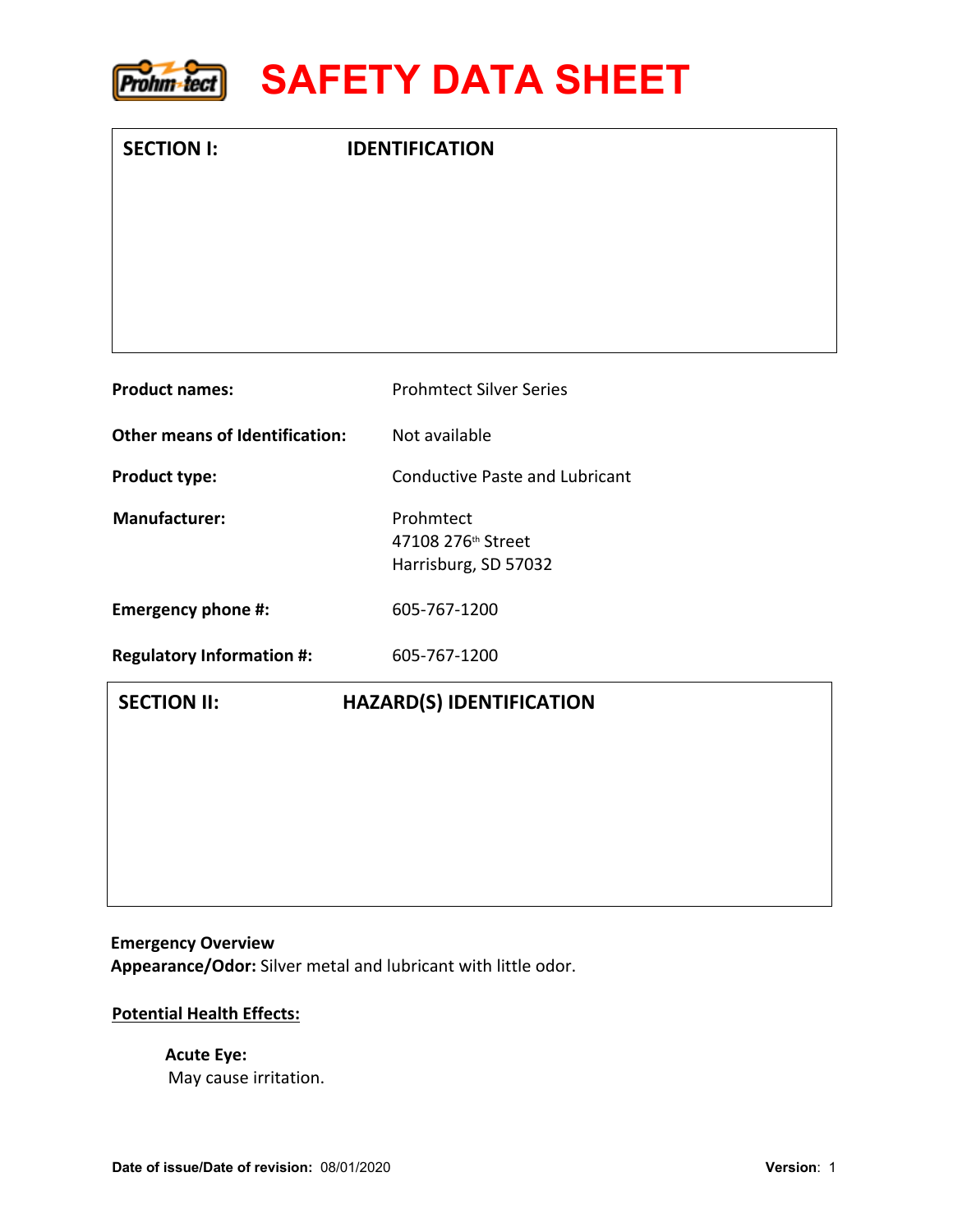

| <b>SECTION I:</b>                     | <b>IDENTIFICATION</b>                 |  |
|---------------------------------------|---------------------------------------|--|
|                                       |                                       |  |
|                                       |                                       |  |
|                                       |                                       |  |
|                                       |                                       |  |
| <b>Product names:</b>                 | <b>Prohmtect Silver Series</b>        |  |
| <b>Other means of Identification:</b> | Not available                         |  |
| Product type:                         | <b>Conductive Paste and Lubricant</b> |  |
| <b>Manufacturer:</b>                  | Prohmtect<br>47108 276th Street       |  |
|                                       | Harrisburg, SD 57032                  |  |
| <b>Emergency phone #:</b>             | 605-767-1200                          |  |
| <b>Regulatory Information #:</b>      | 605-767-1200                          |  |
| <b>SECTION II:</b>                    | <b>HAZARD(S) IDENTIFICATION</b>       |  |
|                                       |                                       |  |
|                                       |                                       |  |
|                                       |                                       |  |
|                                       |                                       |  |

#### **Emergency Overview**

**Appearance/Odor:** Silver metal and lubricant with little odor.

## **Potential Health Effects:**

# **Acute Eye:**  May cause irritation.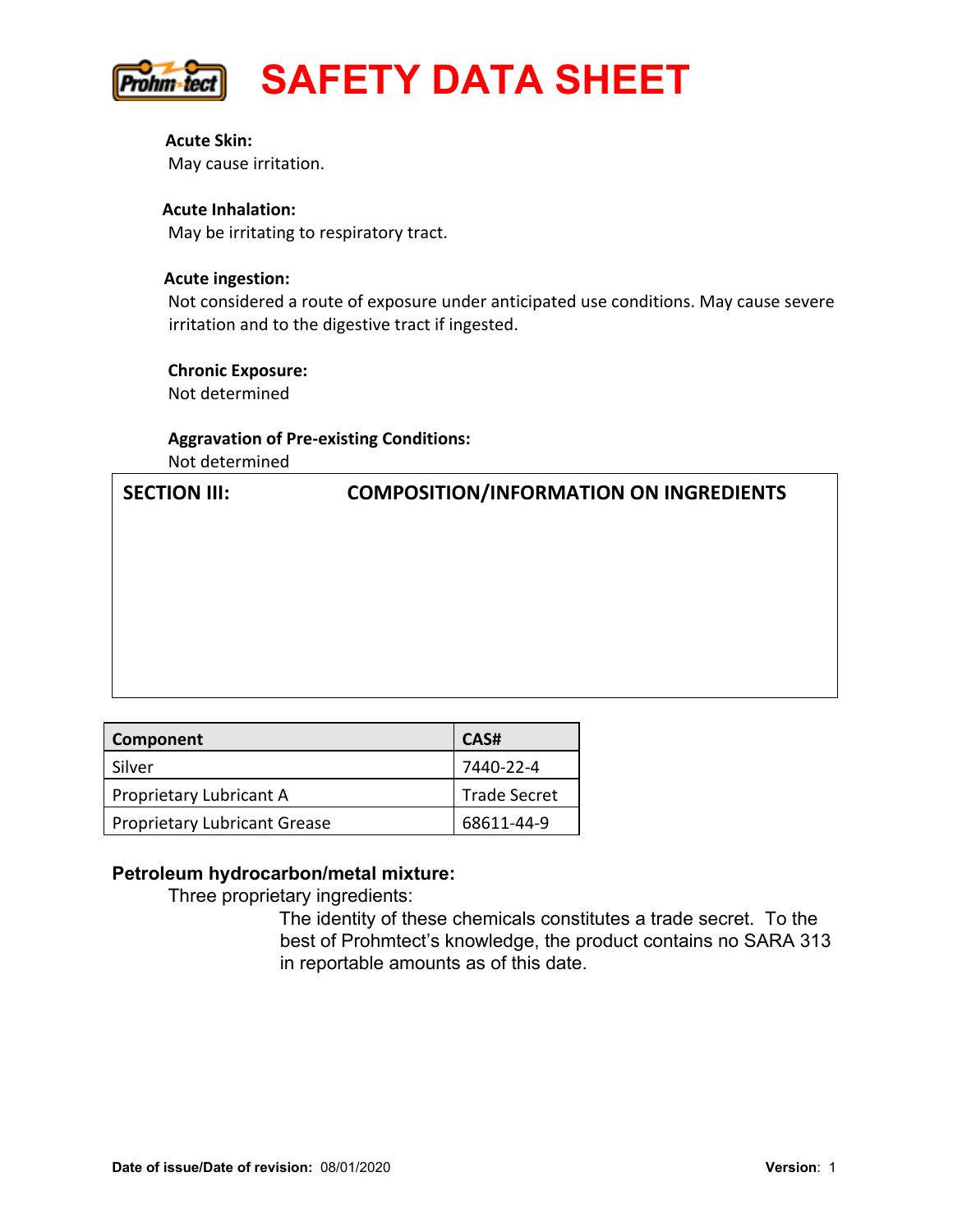

**Acute Skin:**  May cause irritation.

#### **Acute Inhalation:**

May be irritating to respiratory tract.

#### **Acute ingestion:**

Not considered a route of exposure under anticipated use conditions. May cause severe irritation and to the digestive tract if ingested.

# **Chronic Exposure:** Not determined

# **Aggravation of Pre-existing Conditions:** Not determined

# **SECTION III: COMPOSITION/INFORMATION ON INGREDIENTS**

| Component                    | CAS#                |
|------------------------------|---------------------|
| Silver                       | 7440-22-4           |
| Proprietary Lubricant A      | <b>Trade Secret</b> |
| Proprietary Lubricant Grease | 68611-44-9          |

#### **Petroleum hydrocarbon/metal mixture:**

Three proprietary ingredients:

The identity of these chemicals constitutes a trade secret. To the best of Prohmtect's knowledge, the product contains no SARA 313 in reportable amounts as of this date.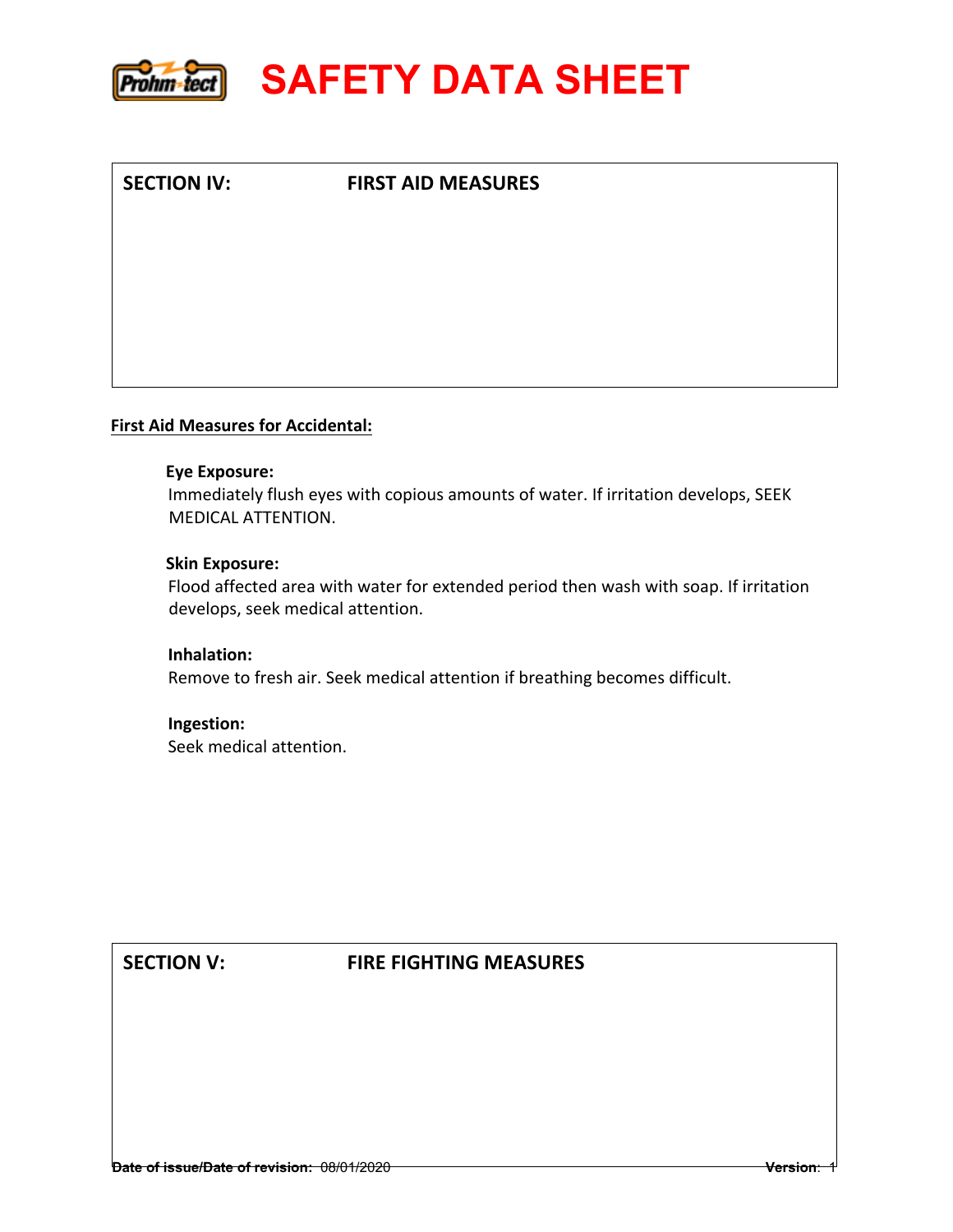

**SECTION IV: FIRST AID MEASURES** 

#### **First Aid Measures for Accidental:**

#### **Eye Exposure:**

Immediately flush eyes with copious amounts of water. If irritation develops, SEEK MEDICAL ATTENTION.

#### **Skin Exposure:**

Flood affected area with water for extended period then wash with soap. If irritation develops, seek medical attention.

**Inhalation:**  Remove to fresh air. Seek medical attention if breathing becomes difficult.

# **Ingestion:**

Seek medical attention.

#### **SECTION V: FIRE FIGHTING MEASURES**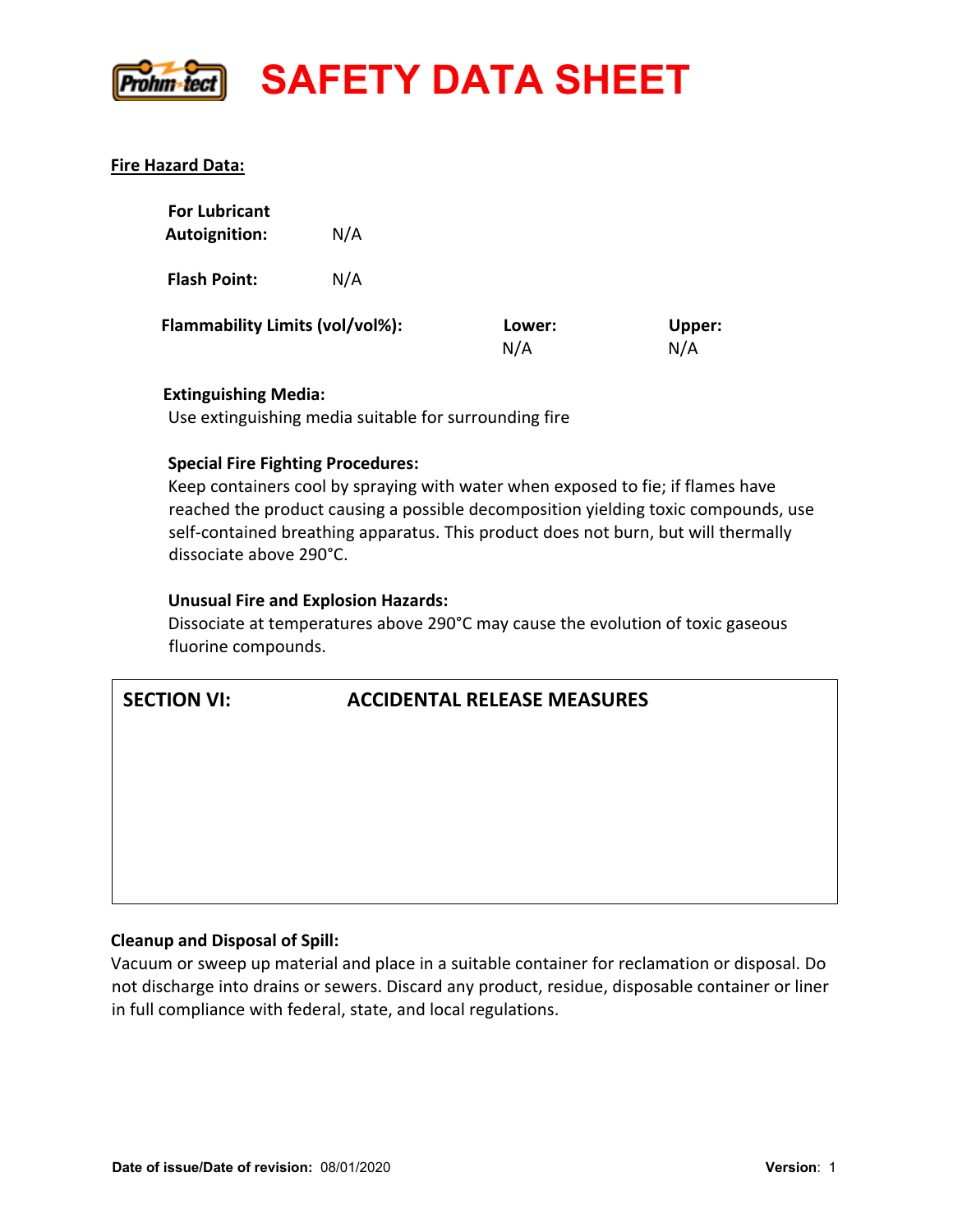

#### **Fire Hazard Data:**

| <b>For Lubricant</b><br><b>Autoignition:</b> | N/A |               |                      |
|----------------------------------------------|-----|---------------|----------------------|
| <b>Flash Point:</b>                          | N/A |               |                      |
| Flammability Limits (vol/vol%):              |     | Lower:<br>N/A | <b>Upper:</b><br>N/A |

#### **Extinguishing Media:**

Use extinguishing media suitable for surrounding fire

#### **Special Fire Fighting Procedures:**

Keep containers cool by spraying with water when exposed to fie; if flames have reached the product causing a possible decomposition yielding toxic compounds, use self-contained breathing apparatus. This product does not burn, but will thermally dissociate above 290°C.

#### **Unusual Fire and Explosion Hazards:**

Dissociate at temperatures above 290°C may cause the evolution of toxic gaseous fluorine compounds.

## **SECTION VI: ACCIDENTAL RELEASE MEASURES**

#### **Cleanup and Disposal of Spill:**

Vacuum or sweep up material and place in a suitable container for reclamation or disposal. Do not discharge into drains or sewers. Discard any product, residue, disposable container or liner in full compliance with federal, state, and local regulations.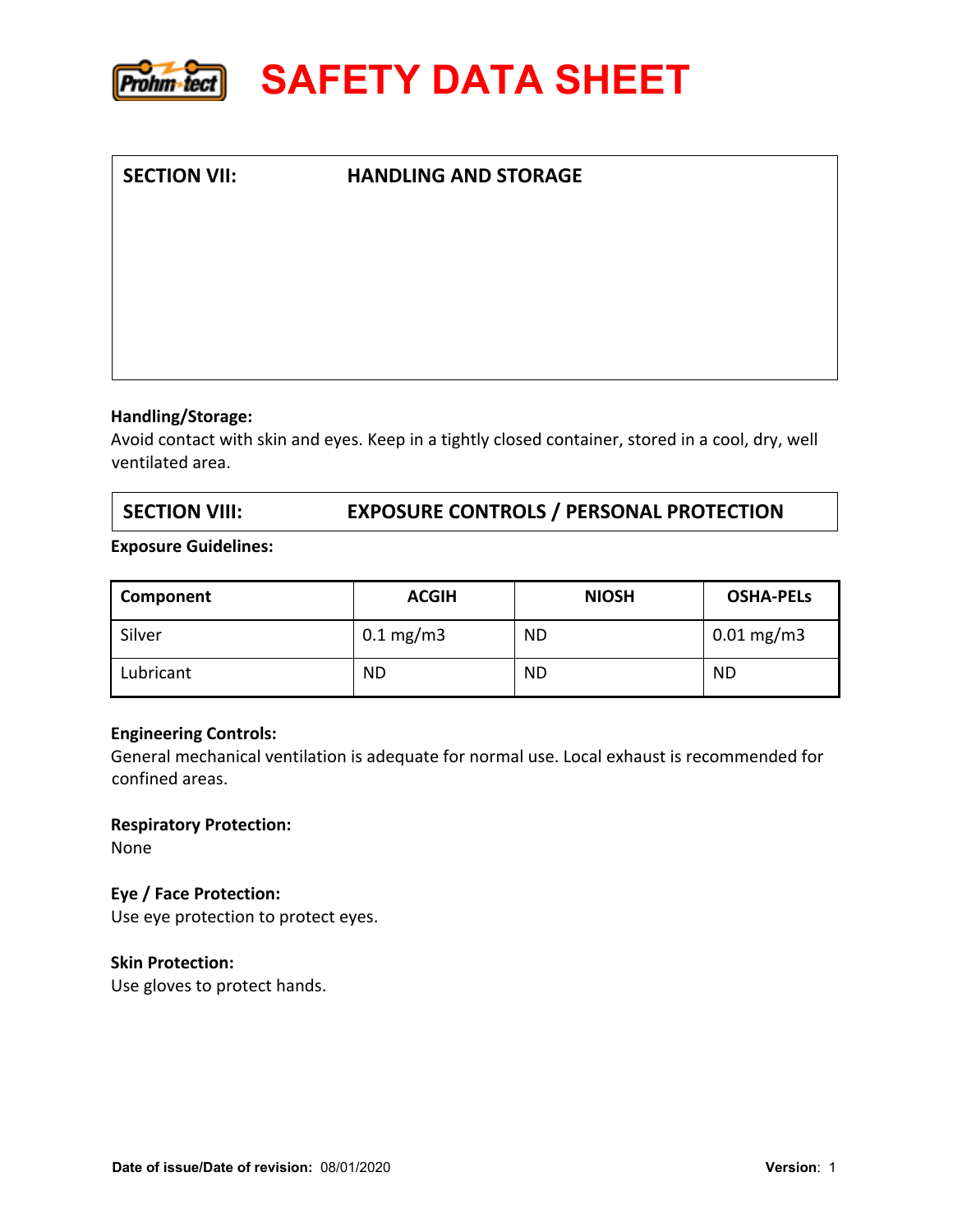

# **SECTION VII: HANDLING AND STORAGE**

#### **Handling/Storage:**

Avoid contact with skin and eyes. Keep in a tightly closed container, stored in a cool, dry, well ventilated area.

# **SECTION VIII: EXPOSURE CONTROLS / PERSONAL PROTECTION**

#### **Exposure Guidelines:**

| Component | <b>ACGIH</b>           | <b>NIOSH</b> | <b>OSHA-PELS</b>        |
|-----------|------------------------|--------------|-------------------------|
| Silver    | $0.1 \,\mathrm{mg/m3}$ | <b>ND</b>    | $0.01 \,\mathrm{mg/m3}$ |
| Lubricant | ND                     | <b>ND</b>    | <b>ND</b>               |

#### **Engineering Controls:**

General mechanical ventilation is adequate for normal use. Local exhaust is recommended for confined areas.

#### **Respiratory Protection:**

None

#### **Eye / Face Protection:**

Use eye protection to protect eyes.

#### **Skin Protection:**

Use gloves to protect hands.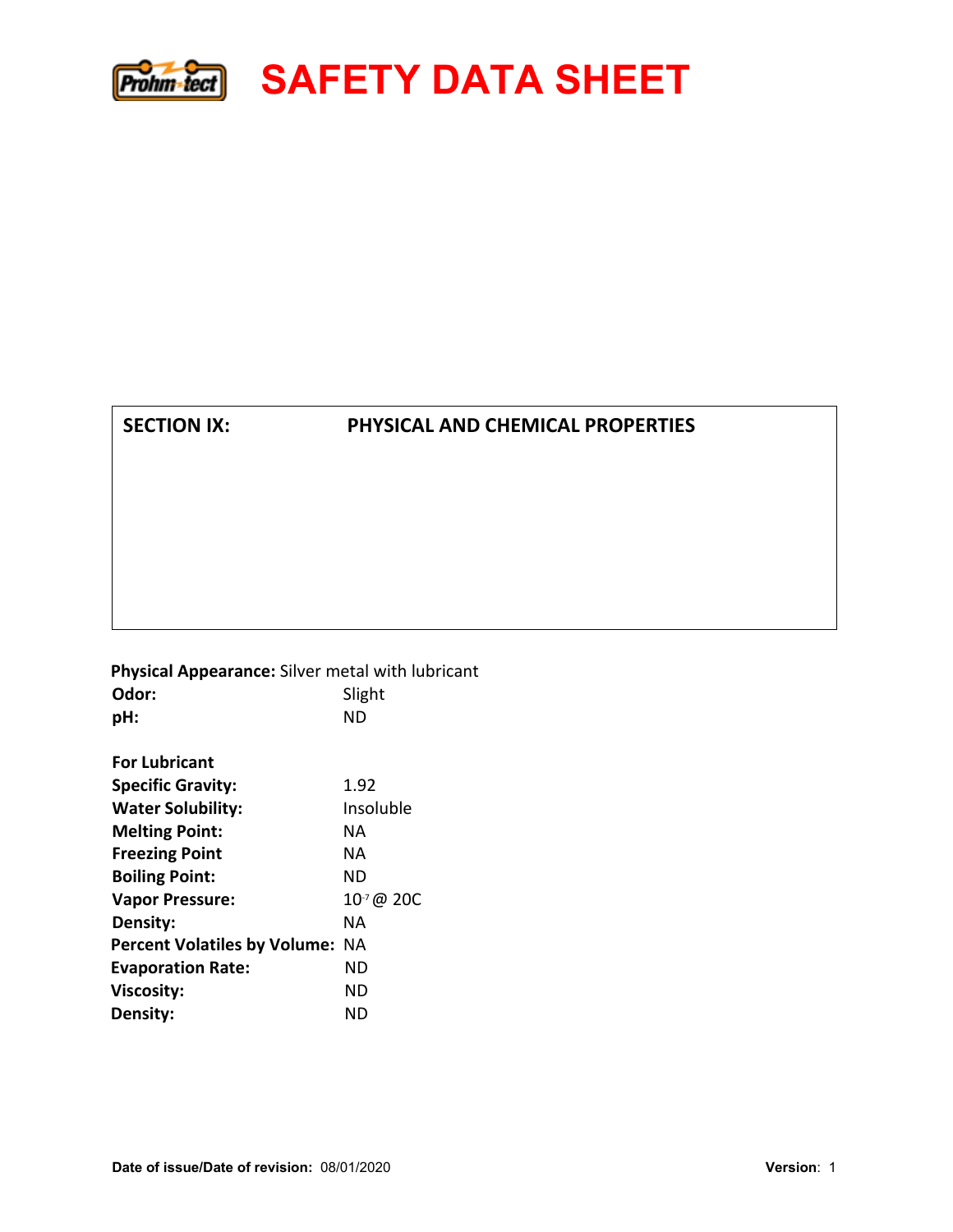

## **SECTION IX: PHYSICAL AND CHEMICAL PROPERTIES**

 **Physical Appearance:** Silver metal with lubricant **Odor:** Slight **pH: For Lubricant**  ND **Specific Gravity:** 1.92 **Water Solubility:** Insoluble **Melting Point:** NA **Freezing Point** NA **Boiling Point:** ND **Vapor Pressure:** 10<sup>-7</sup> @ 20C **Density:** NA **Percent Volatiles by Volume:** NA **Evaporation Rate:** ND **Viscosity:** ND **Density:** ND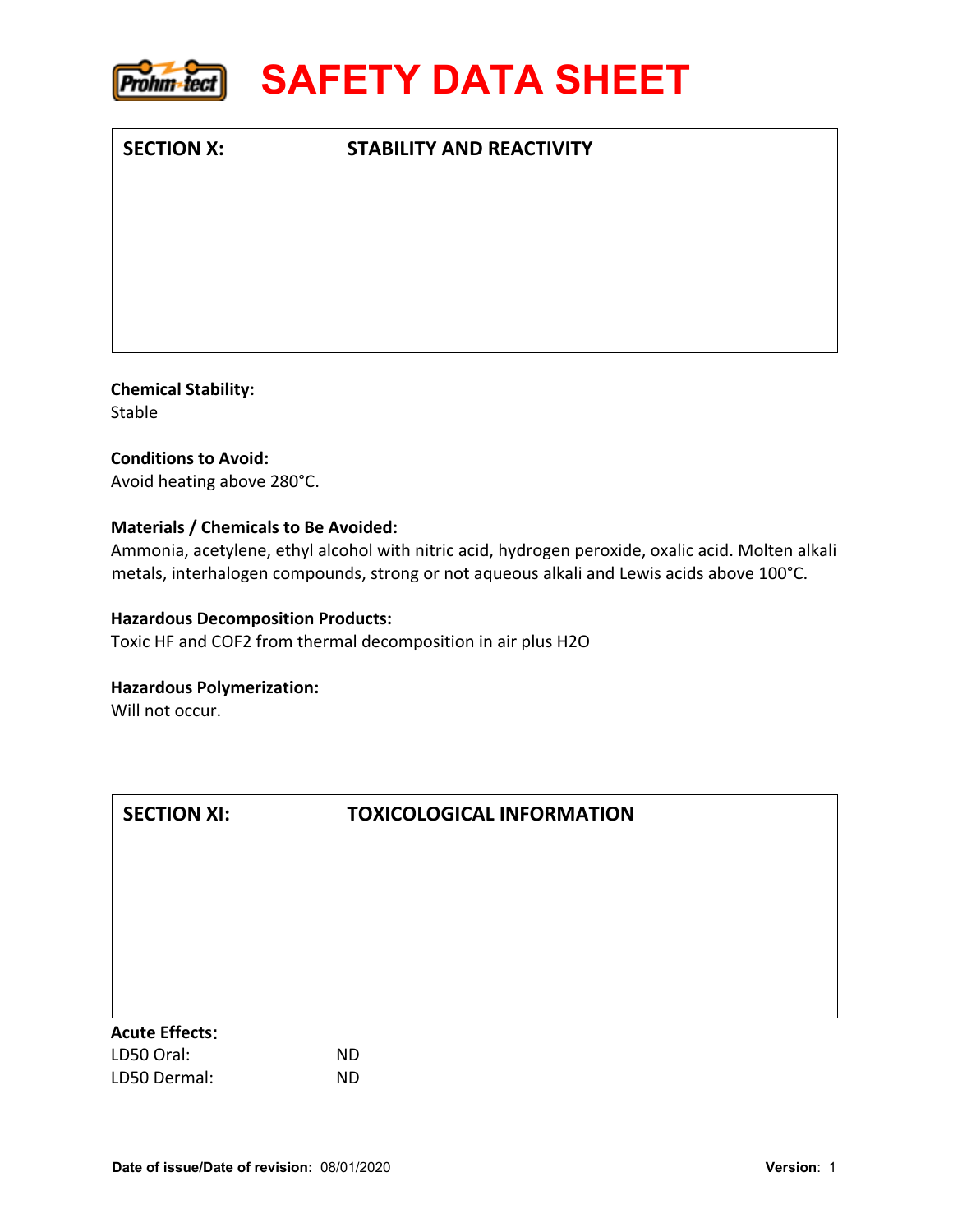

# **SECTION X: STABILITY AND REACTIVITY**

**Chemical Stability:**  Stable

**Conditions to Avoid:**  Avoid heating above 280°C.

#### **Materials / Chemicals to Be Avoided:**

Ammonia, acetylene, ethyl alcohol with nitric acid, hydrogen peroxide, oxalic acid. Molten alkali metals, interhalogen compounds, strong or not aqueous alkali and Lewis acids above 100°C.

#### **Hazardous Decomposition Products:**

Toxic HF and COF2 from thermal decomposition in air plus H2O

#### **Hazardous Polymerization:**

Will not occur.

| <b>SECTION XI:</b>    | <b>TOXICOLOGICAL INFORMATION</b> |  |
|-----------------------|----------------------------------|--|
|                       |                                  |  |
|                       |                                  |  |
|                       |                                  |  |
|                       |                                  |  |
|                       |                                  |  |
|                       |                                  |  |
|                       |                                  |  |
| <b>Acute Effects:</b> |                                  |  |
| LD50 Oral:            | <b>ND</b>                        |  |
| LD50 Dermal:          | <b>ND</b>                        |  |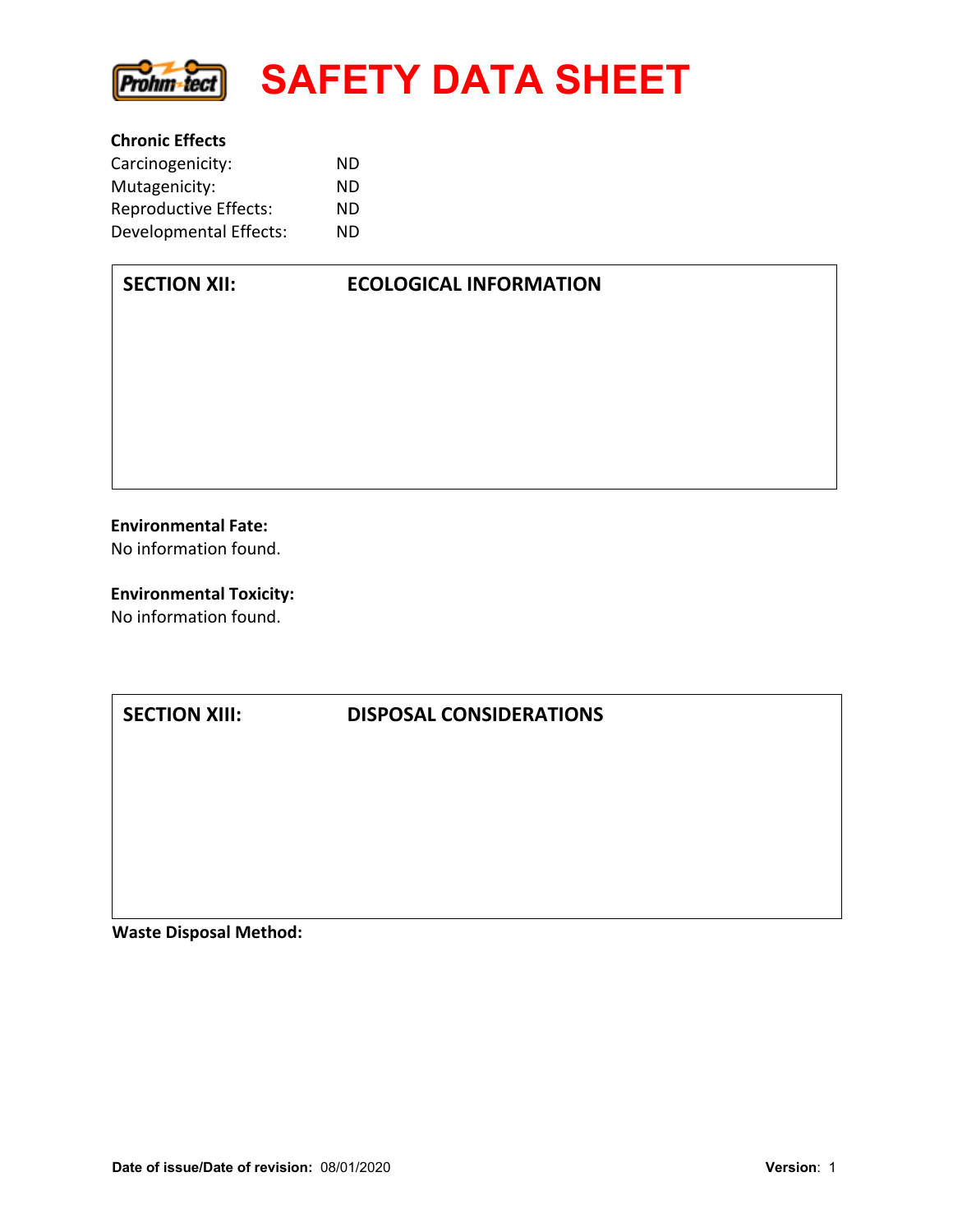

| <b>Chronic Effects</b>       |    |  |
|------------------------------|----|--|
| Carcinogenicity:             | ND |  |
| Mutagenicity:                | ND |  |
| <b>Reproductive Effects:</b> | ND |  |
| Developmental Effects:       | ND |  |

**Environmental Fate:** No information found.

**SECTION XII:** 

**Environmental Toxicity:** No information found.

# **SECTION XIII: DISPOSAL CONSIDERATIONS**

**Waste Disposal Method:**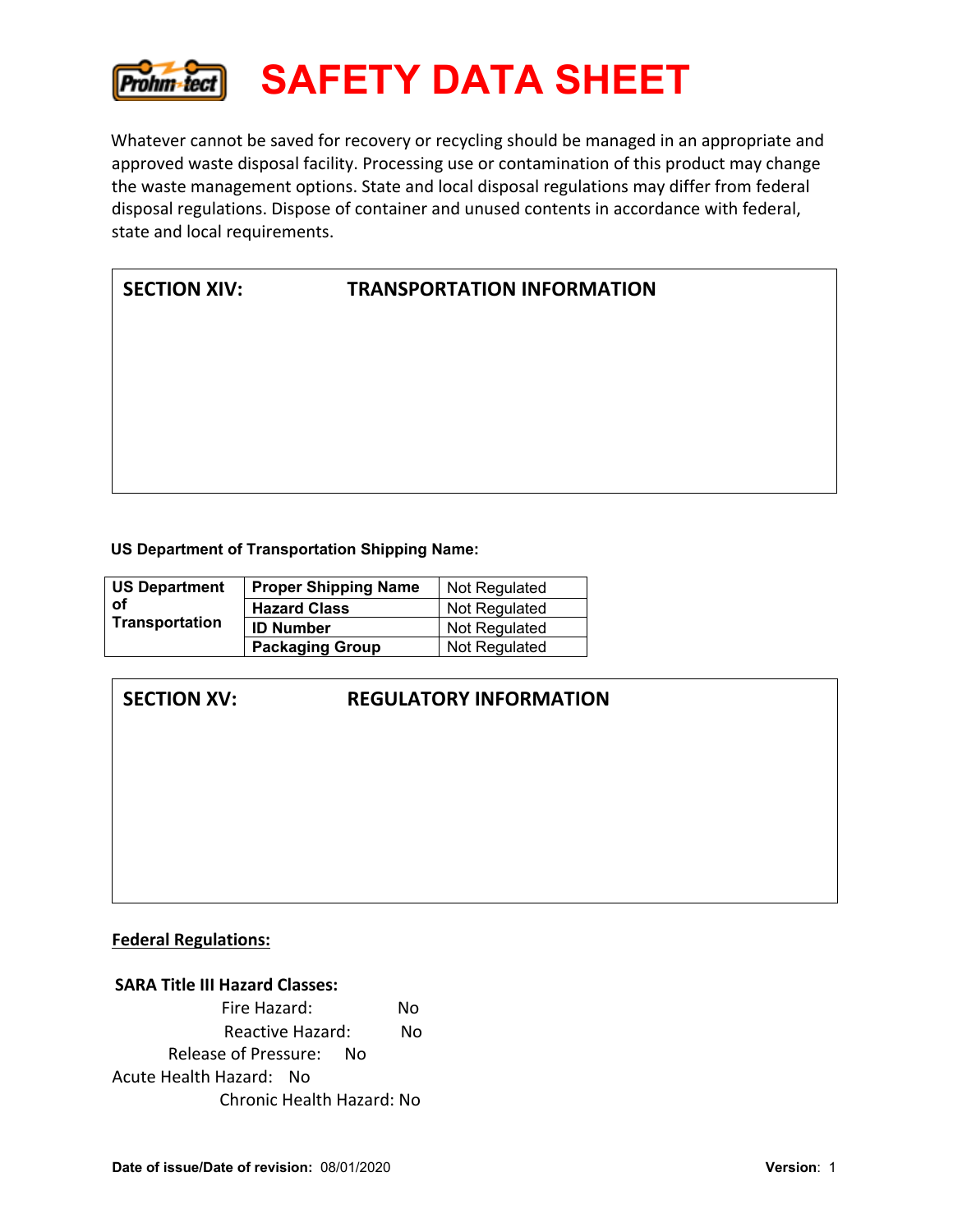![](_page_8_Picture_0.jpeg)

Whatever cannot be saved for recovery or recycling should be managed in an appropriate and approved waste disposal facility. Processing use or contamination of this product may change the waste management options. State and local disposal regulations may differ from federal disposal regulations. Dispose of container and unused contents in accordance with federal, state and local requirements.

| <b>SECTION XIV:</b> |  |
|---------------------|--|
|---------------------|--|

# **TRANSPORTATION INFORMATION**

**US Department of Transportation Shipping Name:** 

| <b>US Department</b>  | <b>Proper Shipping Name</b> | Not Regulated |
|-----------------------|-----------------------------|---------------|
| оf                    | <b>Hazard Class</b>         | Not Regulated |
| <b>Transportation</b> | <b>ID Number</b>            | Not Regulated |
|                       | <b>Packaging Group</b>      | Not Regulated |

# **SECTION XV: REGULATORY INFORMATION**

#### **Federal Regulations:**

| <b>SARA Title III Hazard Classes:</b> |     |  |
|---------------------------------------|-----|--|
| Fire Hazard:                          | Nο  |  |
| Reactive Hazard:<br>Nο                |     |  |
| Release of Pressure:                  | No. |  |
| Acute Health Hazard: No               |     |  |
| Chronic Health Hazard: No             |     |  |